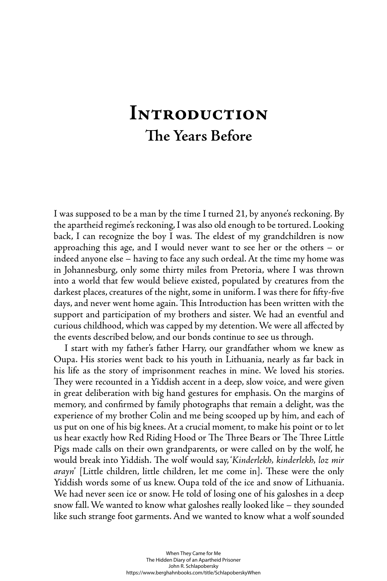# **Introduction The Years Before**

I was supposed to be a man by the time I turned 21, by anyone's reckoning. By the apartheid regime's reckoning, I was also old enough to be tortured. Looking back, I can recognize the boy I was. The eldest of my grandchildren is now approaching this age, and I would never want to see her or the others – or indeed anyone else – having to face any such ordeal. At the time my home was in Johannesburg, only some thirty miles from Pretoria, where I was thrown into a world that few would believe existed, populated by creatures from the darkest places, creatures of the night, some in uniform. I was there for fifty-five days, and never went home again. This Introduction has been written with the support and participation of my brothers and sister. We had an eventful and curious childhood, which was capped by my detention. We were all affected by the events described below, and our bonds continue to see us through.

I start with my father's father Harry, our grandfather whom we knew as Oupa. His stories went back to his youth in Lithuania, nearly as far back in his life as the story of imprisonment reaches in mine. We loved his stories. They were recounted in a Yiddish accent in a deep, slow voice, and were given in great deliberation with big hand gestures for emphasis. On the margins of memory, and confirmed by family photographs that remain a delight, was the experience of my brother Colin and me being scooped up by him, and each of us put on one of his big knees. At a crucial moment, to make his point or to let us hear exactly how Red Riding Hood or The Three Bears or The Three Little Pigs made calls on their own grandparents, or were called on by the wolf, he would break into Yiddish. The wolf would say, 'Kinderlekh, kinderlekh, loz mir *arayn*' [Little children, little children, let me come in]. These were the only Yiddish words some of us knew. Oupa told of the ice and snow of Lithuania. We had never seen ice or snow. He told of losing one of his galoshes in a deep snow fall. We wanted to know what galoshes really looked like – they sounded like such strange foot garments. And we wanted to know what a wolf sounded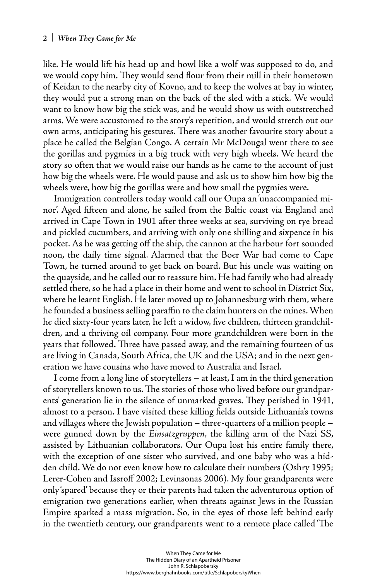like. He would lift his head up and howl like a wolf was supposed to do, and we would copy him. They would send flour from their mill in their hometown of Keidan to the nearby city of Kovno, and to keep the wolves at bay in winter, they would put a strong man on the back of the sled with a stick. We would want to know how big the stick was, and he would show us with outstretched arms. We were accustomed to the story's repetition, and would stretch out our own arms, anticipating his gestures. There was another favourite story about a place he called the Belgian Congo. A certain Mr McDougal went there to see the gorillas and pygmies in a big truck with very high wheels. We heard the story so often that we would raise our hands as he came to the account of just how big the wheels were. He would pause and ask us to show him how big the wheels were, how big the gorillas were and how small the pygmies were.

Immigration controllers today would call our Oupa an 'unaccompanied minor'. Aged fifteen and alone, he sailed from the Baltic coast via England and arrived in Cape Town in 1901 after three weeks at sea, surviving on rye bread and pickled cucumbers, and arriving with only one shilling and sixpence in his pocket. As he was getting off the ship, the cannon at the harbour fort sounded noon, the daily time signal. Alarmed that the Boer War had come to Cape Town, he turned around to get back on board. But his uncle was waiting on the quayside, and he called out to reassure him. He had family who had already settled there, so he had a place in their home and went to school in District Six, where he learnt English. He later moved up to Johannesburg with them, where he founded a business selling paraffin to the claim hunters on the mines. When he died sixty-four years later, he left a widow, five children, thirteen grandchildren, and a thriving oil company. Four more grandchildren were born in the years that followed. Three have passed away, and the remaining fourteen of us are living in Canada, South Africa, the UK and the USA; and in the next generation we have cousins who have moved to Australia and Israel.

I come from a long line of storytellers – at least, I am in the third generation of storytellers known to us. The stories of those who lived before our grandparents' generation lie in the silence of unmarked graves. They perished in 1941, almost to a person. I have visited these killing fields outside Lithuania's towns and villages where the Jewish population – three-quarters of a million people – were gunned down by the *Einsatzgruppen*, the killing arm of the Nazi SS, assisted by Lithuanian collaborators. Our Oupa lost his entire family there, with the exception of one sister who survived, and one baby who was a hidden child. We do not even know how to calculate their numbers (Oshry 1995; Lerer-Cohen and Issroff 2002; Levinsonas 2006). My four grandparents were only 'spared' because they or their parents had taken the adventurous option of emigration two generations earlier, when threats against Jews in the Russian Empire sparked a mass migration. So, in the eyes of those left behind early in the twentieth century, our grandparents went to a remote place called 'The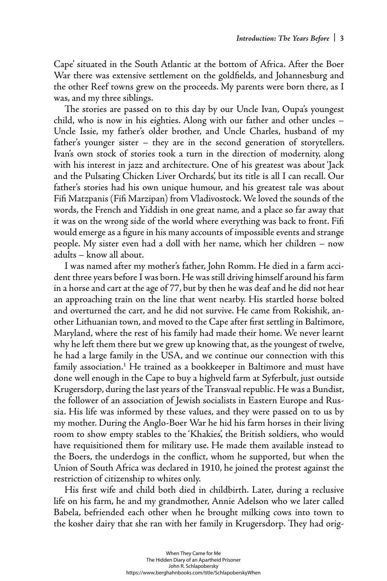Cape' situated in the South Atlantic at the bottom of Africa. After the Boer War there was extensive settlement on the goldfields, and Johannesburg and the other Reef towns grew on the proceeds. My parents were born there, as I was, and my three siblings.

The stories are passed on to this day by our Uncle Ivan, Oupa's youngest child, who is now in his eighties. Along with our father and other uncles – Uncle Issie, my father's older brother, and Uncle Charles, husband of my father's younger sister – they are in the second generation of storytellers. Ivan's own stock of stories took a turn in the direction of modernity, along with his interest in jazz and architecture. One of his greatest was about 'Jack and the Pulsating Chicken Liver Orchards', but its title is all I can recall. Our father's stories had his own unique humour, and his greatest tale was about Fifi Matzpanis (Fifi Marzipan) from Vladivostock. We loved the sounds of the words, the French and Yiddish in one great name, and a place so far away that it was on the wrong side of the world where everything was back to front. Fifi would emerge as a figure in his many accounts of impossible events and strange people. My sister even had a doll with her name, which her children – now adults – know all about.

I was named after my mother's father, John Romm. He died in a farm accident three years before I was born. He was still driving himself around his farm in a horse and cart at the age of 77, but by then he was deaf and he did not hear an approaching train on the line that went nearby. His startled horse bolted and overturned the cart, and he did not survive. He came from Rokishik, another Lithuanian town, and moved to the Cape after first settling in Baltimore, Maryland, where the rest of his family had made their home. We never learnt why he left them there but we grew up knowing that, as the youngest of twelve, he had a large family in the USA, and we continue our connection with this family association.1 He trained as a bookkeeper in Baltimore and must have done well enough in the Cape to buy a highveld farm at Syferbult, just outside Krugersdorp, during the last years of the Transvaal republic. He was a Bundist, the follower of an association of Jewish socialists in Eastern Europe and Russia. His life was informed by these values, and they were passed on to us by my mother. During the Anglo-Boer War he hid his farm horses in their living room to show empty stables to the 'Khakies', the British soldiers, who would have requisitioned them for military use. He made them available instead to the Boers, the underdogs in the conflict, whom he supported, but when the Union of South Africa was declared in 1910, he joined the protest against the restriction of citizenship to whites only.

His first wife and child both died in childbirth. Later, during a reclusive life on his farm, he and my grandmother, Annie Adelson who we later called Babela, befriended each other when he brought milking cows into town to the kosher dairy that she ran with her family in Krugersdorp. They had orig-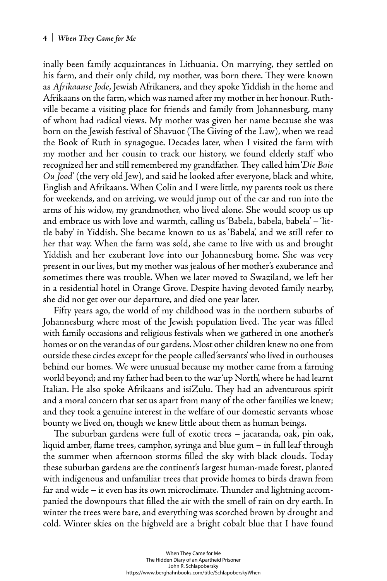inally been family acquaintances in Lithuania. On marrying, they settled on his farm, and their only child, my mother, was born there. They were known as *Afrikaanse Jode*, Jewish Afrikaners, and they spoke Yiddish in the home and Afrikaans on the farm, which was named after my mother in her honour. Ruthville became a visiting place for friends and family from Johannesburg, many of whom had radical views. My mother was given her name because she was born on the Jewish festival of Shavuot (The Giving of the Law), when we read the Book of Ruth in synagogue. Decades later, when I visited the farm with my mother and her cousin to track our history, we found elderly staff who recognized her and still remembered my grandfather. They called him '*Die Baie Ou Jood*' (the very old Jew), and said he looked after everyone, black and white, English and Afrikaans. When Colin and I were little, my parents took us there for weekends, and on arriving, we would jump out of the car and run into the arms of his widow, my grandmother, who lived alone. She would scoop us up and embrace us with love and warmth, calling us 'Babela, babela, babela' – 'little baby' in Yiddish. She became known to us as 'Babela', and we still refer to her that way. When the farm was sold, she came to live with us and brought Yiddish and her exuberant love into our Johannesburg home. She was very present in our lives, but my mother was jealous of her mother's exuberance and sometimes there was trouble. When we later moved to Swaziland, we left her in a residential hotel in Orange Grove. Despite having devoted family nearby, she did not get over our departure, and died one year later.

Fifty years ago, the world of my childhood was in the northern suburbs of Johannesburg where most of the Jewish population lived. The year was filled with family occasions and religious festivals when we gathered in one another's homes or on the verandas of our gardens. Most other children knew no one from outside these circles except for the people called 'servants' who lived in outhouses behind our homes. We were unusual because my mother came from a farming world beyond; and my father had been to the war 'up North', where he had learnt Italian. He also spoke Afrikaans and isiZulu. They had an adventurous spirit and a moral concern that set us apart from many of the other families we knew; and they took a genuine interest in the welfare of our domestic servants whose bounty we lived on, though we knew little about them as human beings.

The suburban gardens were full of exotic trees – jacaranda, oak, pin oak, liquid amber, flame trees, camphor, syringa and blue gum  $-$  in full leaf through the summer when afternoon storms filled the sky with black clouds. Today these suburban gardens are the continent's largest human-made forest, planted with indigenous and unfamiliar trees that provide homes to birds drawn from far and wide – it even has its own microclimate. Thunder and lightning accompanied the downpours that filled the air with the smell of rain on dry earth. In winter the trees were bare, and everything was scorched brown by drought and cold. Winter skies on the highveld are a bright cobalt blue that I have found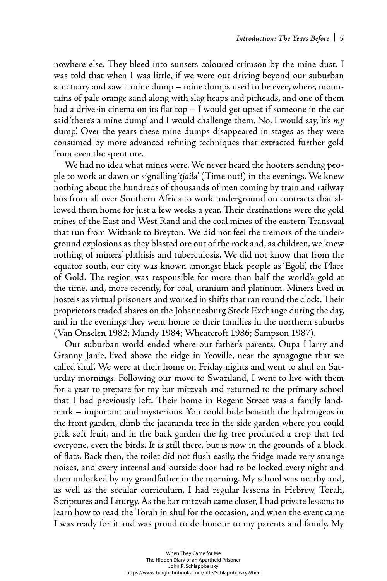nowhere else. They bleed into sunsets coloured crimson by the mine dust. I was told that when I was little, if we were out driving beyond our suburban sanctuary and saw a mine dump – mine dumps used to be everywhere, mountains of pale orange sand along with slag heaps and pitheads, and one of them had a drive-in cinema on its flat top  $-$  I would get upset if someone in the car said 'there's a mine dump' and I would challenge them. No, I would say, 'it's *my* dump'. Over the years these mine dumps disappeared in stages as they were consumed by more advanced refining techniques that extracted further gold from even the spent ore.

We had no idea what mines were. We never heard the hooters sending people to work at dawn or signalling '*tjaila*' (Time out!) in the evenings. We knew nothing about the hundreds of thousands of men coming by train and railway bus from all over Southern Africa to work underground on contracts that allowed them home for just a few weeks a year. Their destinations were the gold mines of the East and West Rand and the coal mines of the eastern Transvaal that run from Witbank to Breyton. We did not feel the tremors of the underground explosions as they blasted ore out of the rock and, as children, we knew nothing of miners' phthisis and tuberculosis. We did not know that from the equator south, our city was known amongst black people as 'Egoli', the Place of Gold. The region was responsible for more than half the world's gold at the time, and, more recently, for coal, uranium and platinum. Miners lived in hostels as virtual prisoners and worked in shifts that ran round the clock. Their proprietors traded shares on the Johannesburg Stock Exchange during the day, and in the evenings they went home to their families in the northern suburbs (Van Onselen 1982; Mandy 1984; Wheatcroft 1986; Sampson 1987).

Our suburban world ended where our father's parents, Oupa Harry and Granny Janie, lived above the ridge in Yeoville, near the synagogue that we called 'shul'. We were at their home on Friday nights and went to shul on Saturday mornings. Following our move to Swaziland, I went to live with them for a year to prepare for my bar mitzvah and returned to the primary school that I had previously left. Their home in Regent Street was a family landmark – important and mysterious. You could hide beneath the hydrangeas in the front garden, climb the jacaranda tree in the side garden where you could pick soft fruit, and in the back garden the fig tree produced a crop that fed everyone, even the birds. It is still there, but is now in the grounds of a block of flats. Back then, the toilet did not flush easily, the fridge made very strange noises, and every internal and outside door had to be locked every night and then unlocked by my grandfather in the morning. My school was nearby and, as well as the secular curriculum, I had regular lessons in Hebrew, Torah, Scriptures and Liturgy. As the bar mitzvah came closer, I had private lessons to learn how to read the Torah in shul for the occasion, and when the event came I was ready for it and was proud to do honour to my parents and family. My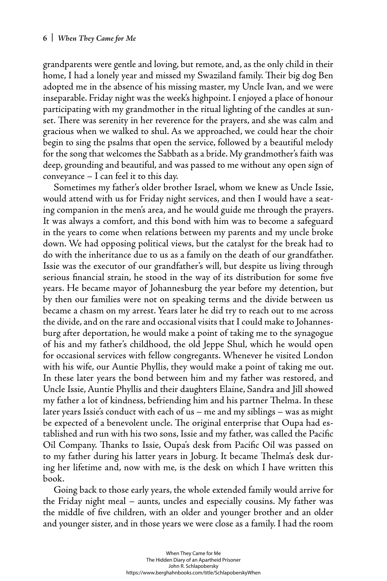grandparents were gentle and loving, but remote, and, as the only child in their home, I had a lonely year and missed my Swaziland family. Their big dog Ben adopted me in the absence of his missing master, my Uncle Ivan, and we were inseparable. Friday night was the week's highpoint. I enjoyed a place of honour participating with my grandmother in the ritual lighting of the candles at sunset. There was serenity in her reverence for the prayers, and she was calm and gracious when we walked to shul. As we approached, we could hear the choir begin to sing the psalms that open the service, followed by a beautiful melody for the song that welcomes the Sabbath as a bride. My grandmother's faith was deep, grounding and beautiful, and was passed to me without any open sign of conveyance – I can feel it to this day.

Sometimes my father's older brother Israel, whom we knew as Uncle Issie, would attend with us for Friday night services, and then I would have a seating companion in the men's area, and he would guide me through the prayers. It was always a comfort, and this bond with him was to become a safeguard in the years to come when relations between my parents and my uncle broke down. We had opposing political views, but the catalyst for the break had to do with the inheritance due to us as a family on the death of our grandfather. Issie was the executor of our grandfather's will, but despite us living through serious financial strain, he stood in the way of its distribution for some five years. He became mayor of Johannesburg the year before my detention, but by then our families were not on speaking terms and the divide between us became a chasm on my arrest. Years later he did try to reach out to me across the divide, and on the rare and occasional visits that I could make to Johannesburg after deportation, he would make a point of taking me to the synagogue of his and my father's childhood, the old Jeppe Shul, which he would open for occasional services with fellow congregants. Whenever he visited London with his wife, our Auntie Phyllis, they would make a point of taking me out. In these later years the bond between him and my father was restored, and Uncle Issie, Auntie Phyllis and their daughters Elaine, Sandra and Jill showed my father a lot of kindness, befriending him and his partner Thelma. In these later years Issie's conduct with each of us – me and my siblings – was as might be expected of a benevolent uncle. The original enterprise that Oupa had established and run with his two sons, Issie and my father, was called the Pacific Oil Company. Thanks to Issie, Oupa's desk from Pacific Oil was passed on to my father during his latter years in Joburg. It became Thelma's desk during her lifetime and, now with me, is the desk on which I have written this book.

Going back to those early years, the whole extended family would arrive for the Friday night meal – aunts, uncles and especially cousins. My father was the middle of five children, with an older and younger brother and an older and younger sister, and in those years we were close as a family. I had the room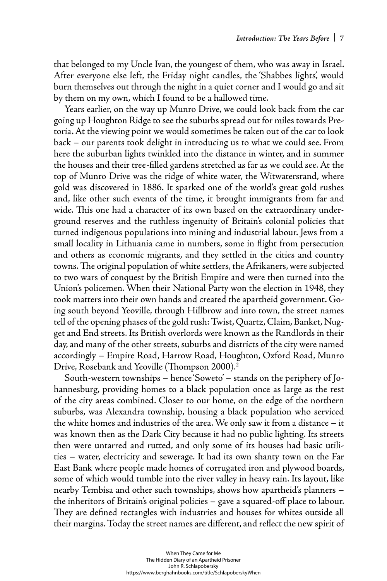that belonged to my Uncle Ivan, the youngest of them, who was away in Israel. After everyone else left, the Friday night candles, the 'Shabbes lights', would burn themselves out through the night in a quiet corner and I would go and sit by them on my own, which I found to be a hallowed time.

Years earlier, on the way up Munro Drive, we could look back from the car going up Houghton Ridge to see the suburbs spread out for miles towards Pretoria. At the viewing point we would sometimes be taken out of the car to look back – our parents took delight in introducing us to what we could see. From here the suburban lights twinkled into the distance in winter, and in summer the houses and their tree-filled gardens stretched as far as we could see. At the top of Munro Drive was the ridge of white water, the Witwatersrand, where gold was discovered in 1886. It sparked one of the world's great gold rushes and, like other such events of the time, it brought immigrants from far and wide. This one had a character of its own based on the extraordinary underground reserves and the ruthless ingenuity of Britain's colonial policies that turned indigenous populations into mining and industrial labour. Jews from a small locality in Lithuania came in numbers, some in flight from persecution and others as economic migrants, and they settled in the cities and country towns. The original population of white settlers, the Afrikaners, were subjected to two wars of conquest by the British Empire and were then turned into the Union's policemen. When their National Party won the election in 1948, they took matters into their own hands and created the apartheid government. Going south beyond Yeoville, through Hillbrow and into town, the street names tell of the opening phases of the gold rush: Twist, Quartz, Claim, Banket, Nugget and End streets. Its British overlords were known as the Randlords in their day, and many of the other streets, suburbs and districts of the city were named accordingly – Empire Road, Harrow Road, Houghton, Oxford Road, Munro Drive, Rosebank and Yeoville (Thompson 2000). $^2$ 

South-western townships – hence 'Soweto' – stands on the periphery of Johannesburg, providing homes to a black population once as large as the rest of the city areas combined. Closer to our home, on the edge of the northern suburbs, was Alexandra township, housing a black population who serviced the white homes and industries of the area. We only saw it from a distance – it was known then as the Dark City because it had no public lighting. Its streets then were untarred and rutted, and only some of its houses had basic utilities – water, electricity and sewerage. It had its own shanty town on the Far East Bank where people made homes of corrugated iron and plywood boards, some of which would tumble into the river valley in heavy rain. Its layout, like nearby Tembisa and other such townships, shows how apartheid's planners – the inheritors of Britain's original policies – gave a squared-off place to labour. They are defined rectangles with industries and houses for whites outside all their margins. Today the street names are different, and reflect the new spirit of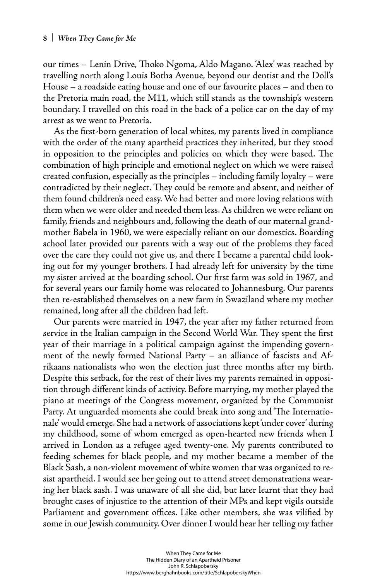our times – Lenin Drive, Thoko Ngoma, Aldo Magano. 'Alex' was reached by travelling north along Louis Botha Avenue, beyond our dentist and the Doll's House – a roadside eating house and one of our favourite places – and then to the Pretoria main road, the M11, which still stands as the township's western boundary. I travelled on this road in the back of a police car on the day of my arrest as we went to Pretoria.

As the first-born generation of local whites, my parents lived in compliance with the order of the many apartheid practices they inherited, but they stood in opposition to the principles and policies on which they were based. The combination of high principle and emotional neglect on which we were raised created confusion, especially as the principles – including family loyalty – were contradicted by their neglect. They could be remote and absent, and neither of them found children's need easy. We had better and more loving relations with them when we were older and needed them less. As children we were reliant on family, friends and neighbours and, following the death of our maternal grandmother Babela in 1960, we were especially reliant on our domestics. Boarding school later provided our parents with a way out of the problems they faced over the care they could not give us, and there I became a parental child looking out for my younger brothers. I had already left for university by the time my sister arrived at the boarding school. Our first farm was sold in 1967, and for several years our family home was relocated to Johannesburg. Our parents then re-established themselves on a new farm in Swaziland where my mother remained, long after all the children had left.

Our parents were married in 1947, the year after my father returned from service in the Italian campaign in the Second World War. They spent the first year of their marriage in a political campaign against the impending government of the newly formed National Party – an alliance of fascists and Afrikaans nationalists who won the election just three months after my birth. Despite this setback, for the rest of their lives my parents remained in opposition through different kinds of activity. Before marrying, my mother played the piano at meetings of the Congress movement, organized by the Communist Party. At unguarded moments she could break into song and 'The Internationale' would emerge. She had a network of associations kept 'under cover' during my childhood, some of whom emerged as open-hearted new friends when I arrived in London as a refugee aged twenty-one. My parents contributed to feeding schemes for black people, and my mother became a member of the Black Sash, a non-violent movement of white women that was organized to resist apartheid. I would see her going out to attend street demonstrations wearing her black sash. I was unaware of all she did, but later learnt that they had brought cases of injustice to the attention of their MPs and kept vigils outside Parliament and government offices. Like other members, she was vilified by some in our Jewish community. Over dinner I would hear her telling my father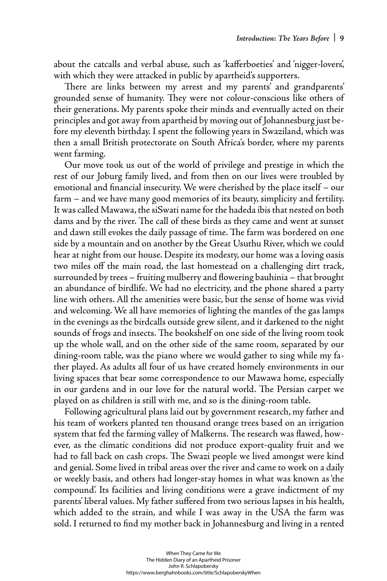about the catcalls and verbal abuse, such as 'kafferboeties' and 'nigger-lovers', with which they were attacked in public by apartheid's supporters.

There are links between my arrest and my parents' and grandparents' grounded sense of humanity. They were not colour-conscious like others of their generations. My parents spoke their minds and eventually acted on their principles and got away from apartheid by moving out of Johannesburg just before my eleventh birthday. I spent the following years in Swaziland, which was then a small British protectorate on South Africa's border, where my parents went farming.

Our move took us out of the world of privilege and prestige in which the rest of our Joburg family lived, and from then on our lives were troubled by emotional and financial insecurity. We were cherished by the place itself  $-$  our farm – and we have many good memories of its beauty, simplicity and fertility. It was called Mawawa, the siSwati name for the hadeda ibis that nested on both dams and by the river. The call of these birds as they came and went at sunset and dawn still evokes the daily passage of time. The farm was bordered on one side by a mountain and on another by the Great Usuthu River, which we could hear at night from our house. Despite its modesty, our home was a loving oasis two miles off the main road, the last homestead on a challenging dirt track, surrounded by trees - fruiting mulberry and flowering bauhinia - that brought an abundance of birdlife. We had no electricity, and the phone shared a party line with others. All the amenities were basic, but the sense of home was vivid and welcoming. We all have memories of lighting the mantles of the gas lamps in the evenings as the birdcalls outside grew silent, and it darkened to the night sounds of frogs and insects. The bookshelf on one side of the living room took up the whole wall, and on the other side of the same room, separated by our dining-room table, was the piano where we would gather to sing while my father played. As adults all four of us have created homely environments in our living spaces that bear some correspondence to our Mawawa home, especially in our gardens and in our love for the natural world. The Persian carpet we played on as children is still with me, and so is the dining-room table.

Following agricultural plans laid out by government research, my father and his team of workers planted ten thousand orange trees based on an irrigation system that fed the farming valley of Malkerns. The research was flawed, however, as the climatic conditions did not produce export-quality fruit and we had to fall back on cash crops. The Swazi people we lived amongst were kind and genial. Some lived in tribal areas over the river and came to work on a daily or weekly basis, and others had longer-stay homes in what was known as 'the compound'. Its facilities and living conditions were a grave indictment of my parents' liberal values. My father suffered from two serious lapses in his health, which added to the strain, and while I was away in the USA the farm was sold. I returned to find my mother back in Johannesburg and living in a rented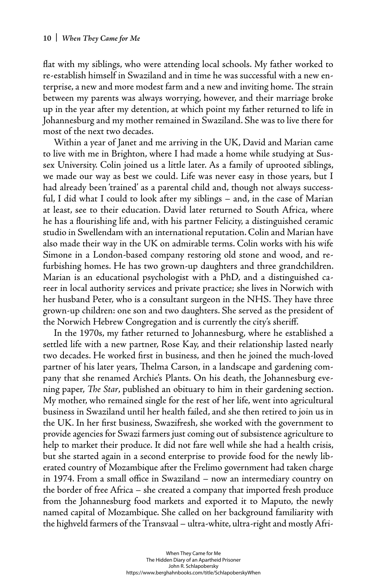flat with my siblings, who were attending local schools. My father worked to re-establish himself in Swaziland and in time he was successful with a new enterprise, a new and more modest farm and a new and inviting home. The strain between my parents was always worrying, however, and their marriage broke up in the year after my detention, at which point my father returned to life in Johannesburg and my mother remained in Swaziland. She was to live there for most of the next two decades.

Within a year of Janet and me arriving in the UK, David and Marian came to live with me in Brighton, where I had made a home while studying at Sussex University. Colin joined us a little later. As a family of uprooted siblings, we made our way as best we could. Life was never easy in those years, but I had already been 'trained' as a parental child and, though not always successful, I did what I could to look after my siblings – and, in the case of Marian at least, see to their education. David later returned to South Africa, where he has a flourishing life and, with his partner Felicity, a distinguished ceramic studio in Swellendam with an international reputation. Colin and Marian have also made their way in the UK on admirable terms. Colin works with his wife Simone in a London-based company restoring old stone and wood, and refurbishing homes. He has two grown-up daughters and three grandchildren. Marian is an educational psychologist with a PhD, and a distinguished career in local authority services and private practice; she lives in Norwich with her husband Peter, who is a consultant surgeon in the NHS. They have three grown-up children: one son and two daughters. She served as the president of the Norwich Hebrew Congregation and is currently the city's sheriff.

In the 1970s, my father returned to Johannesburg, where he established a settled life with a new partner, Rose Kay, and their relationship lasted nearly two decades. He worked first in business, and then he joined the much-loved partner of his later years, Thelma Carson, in a landscape and gardening company that she renamed Archie's Plants. On his death, the Johannesburg evening paper, *The Star*, published an obituary to him in their gardening section. My mother, who remained single for the rest of her life, went into agricultural business in Swaziland until her health failed, and she then retired to join us in the UK. In her first business, Swazifresh, she worked with the government to provide agencies for Swazi farmers just coming out of subsistence agriculture to help to market their produce. It did not fare well while she had a health crisis, but she started again in a second enterprise to provide food for the newly liberated country of Mozambique after the Frelimo government had taken charge in 1974. From a small office in Swaziland – now an intermediary country on the border of free Africa – she created a company that imported fresh produce from the Johannesburg food markets and exported it to Maputo, the newly named capital of Mozambique. She called on her background familiarity with the highveld farmers of the Transvaal – ultra-white, ultra-right and mostly Afri-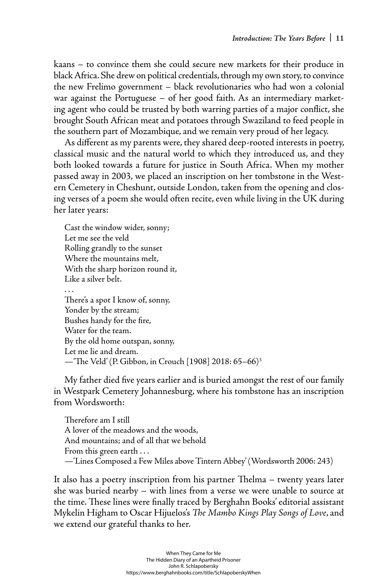kaans – to convince them she could secure new markets for their produce in black Africa. She drew on political credentials, through my own story, to convince the new Frelimo government – black revolutionaries who had won a colonial war against the Portuguese – of her good faith. As an intermediary marketing agent who could be trusted by both warring parties of a major conflict, she brought South African meat and potatoes through Swaziland to feed people in the southern part of Mozambique, and we remain very proud of her legacy.

As different as my parents were, they shared deep-rooted interests in poetry, classical music and the natural world to which they introduced us, and they both looked towards a future for justice in South Africa. When my mother passed away in 2003, we placed an inscription on her tombstone in the Western Cemetery in Cheshunt, outside London, taken from the opening and closing verses of a poem she would often recite, even while living in the UK during her later years:

Cast the window wider, sonny; Let me see the veld Rolling grandly to the sunset Where the mountains melt, With the sharp horizon round it, Like a silver belt. . . . There's a spot I know of, sonny, Yonder by the stream; Bushes handy for the fire, Water for the team. By the old home outspan, sonny, Let me lie and dream.

-The Veld' (P. Gibbon, in Crouch [1908] 2018: 65-66)<sup>3</sup>

My father died five years earlier and is buried amongst the rest of our family in Westpark Cemetery Johannesburg, where his tombstone has an inscription from Wordsworth:

Therefore am I still A lover of the meadows and the woods, And mountains; and of all that we behold From this green earth . . . —'Lines Composed a Few Miles above Tintern Abbey' (Wordsworth 2006: 243)

It also has a poetry inscription from his partner Thelma – twenty years later she was buried nearby – with lines from a verse we were unable to source at the time. These lines were finally traced by Berghahn Books' editorial assistant Mykelin Higham to Oscar Hijuelos's *The Mambo Kings Play Songs of Love,* and we extend our grateful thanks to her.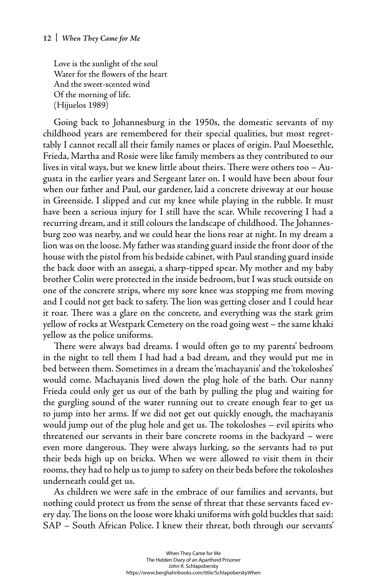Love is the sunlight of the soul Water for the flowers of the heart And the sweet-scented wind Of the morning of life. (Hijuelos 1989)

Going back to Johannesburg in the 1950s, the domestic servants of my childhood years are remembered for their special qualities, but most regrettably I cannot recall all their family names or places of origin. Paul Moesethle, Frieda, Martha and Rosie were like family members as they contributed to our lives in vital ways, but we knew little about theirs. There were others too  $-$  Augusta in the earlier years and Sergeant later on. I would have been about four when our father and Paul, our gardener, laid a concrete driveway at our house in Greenside. I slipped and cut my knee while playing in the rubble. It must have been a serious injury for I still have the scar. While recovering I had a recurring dream, and it still colours the landscape of childhood. The Johannesburg zoo was nearby, and we could hear the lions roar at night. In my dream a lion was on the loose. My father was standing guard inside the front door of the house with the pistol from his bedside cabinet, with Paul standing guard inside the back door with an assegai, a sharp-tipped spear. My mother and my baby brother Colin were protected in the inside bedroom, but I was stuck outside on one of the concrete strips, where my sore knee was stopping me from moving and I could not get back to safety. The lion was getting closer and I could hear it roar. There was a glare on the concrete, and everything was the stark grim yellow of rocks at Westpark Cemetery on the road going west – the same khaki yellow as the police uniforms.

There were always bad dreams. I would often go to my parents' bedroom in the night to tell them I had had a bad dream, and they would put me in bed between them. Sometimes in a dream the 'machayanis' and the 'tokoloshes' would come. Machayanis lived down the plug hole of the bath. Our nanny Frieda could only get us out of the bath by pulling the plug and waiting for the gurgling sound of the water running out to create enough fear to get us to jump into her arms. If we did not get out quickly enough, the machayanis would jump out of the plug hole and get us. The tokoloshes – evil spirits who threatened our servants in their bare concrete rooms in the backyard – were even more dangerous. They were always lurking, so the servants had to put their beds high up on bricks. When we were allowed to visit them in their rooms, they had to help us to jump to safety on their beds before the tokoloshes underneath could get us.

As children we were safe in the embrace of our families and servants, but nothing could protect us from the sense of threat that these servants faced every day. The lions on the loose wore khaki uniforms with gold buckles that said: SAP – South African Police. I knew their threat, both through our servants'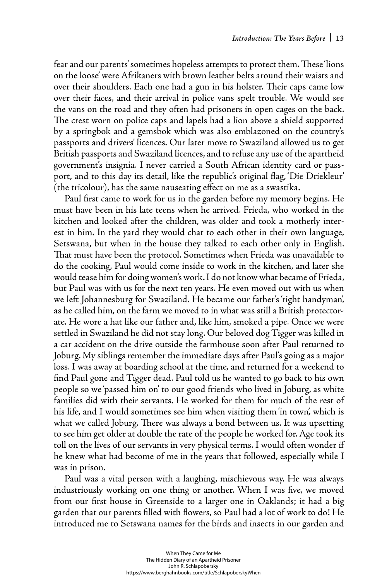fear and our parents' sometimes hopeless attempts to protect them. These 'lions on the loose' were Afrikaners with brown leather belts around their waists and over their shoulders. Each one had a gun in his holster. Their caps came low over their faces, and their arrival in police vans spelt trouble. We would see the vans on the road and they often had prisoners in open cages on the back. The crest worn on police caps and lapels had a lion above a shield supported by a springbok and a gemsbok which was also emblazoned on the country's passports and drivers' licences. Our later move to Swaziland allowed us to get British passports and Swaziland licences, and to refuse any use of the apartheid government's insignia. I never carried a South African identity card or passport, and to this day its detail, like the republic's original flag, 'Die Driekleur' (the tricolour), has the same nauseating effect on me as a swastika.

Paul first came to work for us in the garden before my memory begins. He must have been in his late teens when he arrived. Frieda, who worked in the kitchen and looked after the children, was older and took a motherly interest in him. In the yard they would chat to each other in their own language, Setswana, but when in the house they talked to each other only in English. That must have been the protocol. Sometimes when Frieda was unavailable to do the cooking, Paul would come inside to work in the kitchen, and later she would tease him for doing women's work. I do not know what became of Frieda, but Paul was with us for the next ten years. He even moved out with us when we left Johannesburg for Swaziland. He became our father's 'right handyman', as he called him, on the farm we moved to in what was still a British protectorate. He wore a hat like our father and, like him, smoked a pipe. Once we were settled in Swaziland he did not stay long. Our beloved dog Tigger was killed in a car accident on the drive outside the farmhouse soon after Paul returned to Joburg. My siblings remember the immediate days after Paul's going as a major loss. I was away at boarding school at the time, and returned for a weekend to find Paul gone and Tigger dead. Paul told us he wanted to go back to his own people so we 'passed him on' to our good friends who lived in Joburg, as white families did with their servants. He worked for them for much of the rest of his life, and I would sometimes see him when visiting them 'in town', which is what we called Joburg. There was always a bond between us. It was upsetting to see him get older at double the rate of the people he worked for. Age took its toll on the lives of our servants in very physical terms. I would often wonder if he knew what had become of me in the years that followed, especially while I was in prison.

Paul was a vital person with a laughing, mischievous way. He was always industriously working on one thing or another. When I was five, we moved from our first house in Greenside to a larger one in Oaklands; it had a big garden that our parents filled with flowers, so Paul had a lot of work to do! He introduced me to Setswana names for the birds and insects in our garden and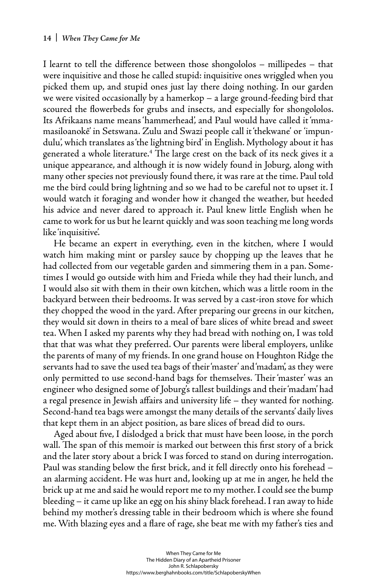I learnt to tell the difference between those shongololos  $-$  millipedes  $-$  that were inquisitive and those he called stupid: inquisitive ones wriggled when you picked them up, and stupid ones just lay there doing nothing. In our garden we were visited occasionally by a hamerkop – a large ground-feeding bird that scoured the flowerbeds for grubs and insects, and especially for shongololos. Its Afrikaans name means 'hammerhead', and Paul would have called it 'mmamasiloanokê' in Setswana. Zulu and Swazi people call it 'thekwane' or 'impundulu', which translates as 'the lightning bird' in English. Mythology about it has generated a whole literature.<sup>4</sup> The large crest on the back of its neck gives it a unique appearance, and although it is now widely found in Joburg, along with many other species not previously found there, it was rare at the time. Paul told me the bird could bring lightning and so we had to be careful not to upset it. I would watch it foraging and wonder how it changed the weather, but heeded his advice and never dared to approach it. Paul knew little English when he came to work for us but he learnt quickly and was soon teaching me long words like 'inquisitive'.

He became an expert in everything, even in the kitchen, where I would watch him making mint or parsley sauce by chopping up the leaves that he had collected from our vegetable garden and simmering them in a pan. Sometimes I would go outside with him and Frieda while they had their lunch, and I would also sit with them in their own kitchen, which was a little room in the backyard between their bedrooms. It was served by a cast-iron stove for which they chopped the wood in the yard. After preparing our greens in our kitchen, they would sit down in theirs to a meal of bare slices of white bread and sweet tea. When I asked my parents why they had bread with nothing on, I was told that that was what they preferred. Our parents were liberal employers, unlike the parents of many of my friends. In one grand house on Houghton Ridge the servants had to save the used tea bags of their 'master' and 'madam', as they were only permitted to use second-hand bags for themselves. Their 'master' was an engineer who designed some of Joburg's tallest buildings and their 'madam' had a regal presence in Jewish affairs and university life – they wanted for nothing. Second-hand tea bags were amongst the many details of the servants' daily lives that kept them in an abject position, as bare slices of bread did to ours.

Aged about five, I dislodged a brick that must have been loose, in the porch wall. The span of this memoir is marked out between this first story of a brick and the later story about a brick I was forced to stand on during interrogation. Paul was standing below the first brick, and it fell directly onto his forehead an alarming accident. He was hurt and, looking up at me in anger, he held the brick up at me and said he would report me to my mother. I could see the bump bleeding – it came up like an egg on his shiny black forehead. I ran away to hide behind my mother's dressing table in their bedroom which is where she found me. With blazing eyes and a flare of rage, she beat me with my father's ties and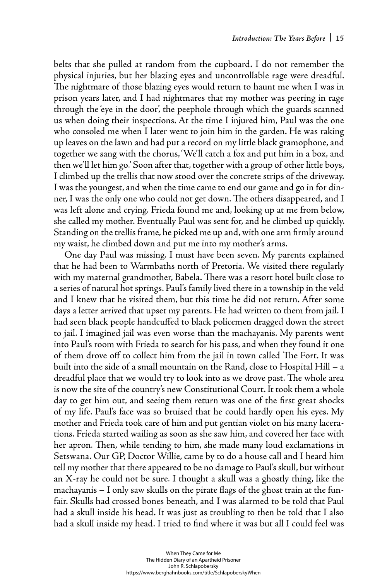belts that she pulled at random from the cupboard. I do not remember the physical injuries, but her blazing eyes and uncontrollable rage were dreadful. The nightmare of those blazing eyes would return to haunt me when I was in prison years later, and I had nightmares that my mother was peering in rage through the 'eye in the door', the peephole through which the guards scanned us when doing their inspections. At the time I injured him, Paul was the one who consoled me when I later went to join him in the garden. He was raking up leaves on the lawn and had put a record on my little black gramophone, and together we sang with the chorus, 'We'll catch a fox and put him in a box, and then we'll let him go.' Soon after that, together with a group of other little boys, I climbed up the trellis that now stood over the concrete strips of the driveway. I was the youngest, and when the time came to end our game and go in for dinner, I was the only one who could not get down. The others disappeared, and I was left alone and crying. Frieda found me and, looking up at me from below, she called my mother. Eventually Paul was sent for, and he climbed up quickly. Standing on the trellis frame, he picked me up and, with one arm firmly around my waist, he climbed down and put me into my mother's arms.

One day Paul was missing. I must have been seven. My parents explained that he had been to Warmbaths north of Pretoria. We visited there regularly with my maternal grandmother, Babela. There was a resort hotel built close to a series of natural hot springs. Paul's family lived there in a township in the veld and I knew that he visited them, but this time he did not return. After some days a letter arrived that upset my parents. He had written to them from jail. I had seen black people handcuffed to black policemen dragged down the street to jail. I imagined jail was even worse than the machayanis. My parents went into Paul's room with Frieda to search for his pass, and when they found it one of them drove off to collect him from the jail in town called The Fort. It was built into the side of a small mountain on the Rand, close to Hospital Hill – a dreadful place that we would try to look into as we drove past. The whole area is now the site of the country's new Constitutional Court. It took them a whole day to get him out, and seeing them return was one of the first great shocks of my life. Paul's face was so bruised that he could hardly open his eyes. My mother and Frieda took care of him and put gentian violet on his many lacerations. Frieda started wailing as soon as she saw him, and covered her face with her apron. Then, while tending to him, she made many loud exclamations in Setswana. Our GP, Doctor Willie, came by to do a house call and I heard him tell my mother that there appeared to be no damage to Paul's skull, but without an X-ray he could not be sure. I thought a skull was a ghostly thing, like the machayanis  $-$  I only saw skulls on the pirate flags of the ghost train at the funfair. Skulls had crossed bones beneath, and I was alarmed to be told that Paul had a skull inside his head. It was just as troubling to then be told that I also had a skull inside my head. I tried to find where it was but all I could feel was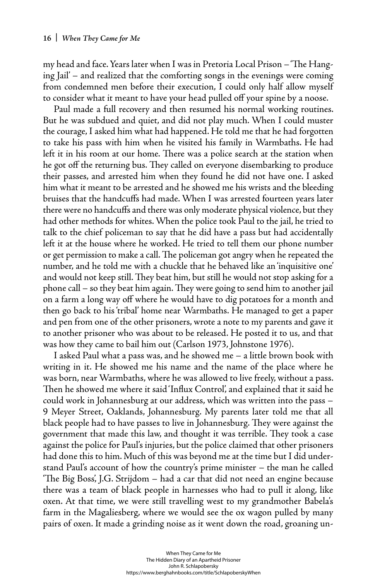my head and face. Years later when I was in Pretoria Local Prison – 'The Hanging Jail' – and realized that the comforting songs in the evenings were coming from condemned men before their execution, I could only half allow myself to consider what it meant to have your head pulled off your spine by a noose.

Paul made a full recovery and then resumed his normal working routines. But he was subdued and quiet, and did not play much. When I could muster the courage, I asked him what had happened. He told me that he had forgotten to take his pass with him when he visited his family in Warmbaths. He had left it in his room at our home. There was a police search at the station when he got off the returning bus. They called on everyone disembarking to produce their passes, and arrested him when they found he did not have one. I asked him what it meant to be arrested and he showed me his wrists and the bleeding bruises that the handcuffs had made. When I was arrested fourteen years later there were no handcuffs and there was only moderate physical violence, but they had other methods for whites. When the police took Paul to the jail, he tried to talk to the chief policeman to say that he did have a pass but had accidentally left it at the house where he worked. He tried to tell them our phone number or get permission to make a call. The policeman got angry when he repeated the number, and he told me with a chuckle that he behaved like an 'inquisitive one' and would not keep still. They beat him, but still he would not stop asking for a phone call – so they beat him again. They were going to send him to another jail on a farm a long way off where he would have to dig potatoes for a month and then go back to his 'tribal' home near Warmbaths. He managed to get a paper and pen from one of the other prisoners, wrote a note to my parents and gave it to another prisoner who was about to be released. He posted it to us, and that was how they came to bail him out (Carlson 1973, Johnstone 1976).

I asked Paul what a pass was, and he showed me – a little brown book with writing in it. He showed me his name and the name of the place where he was born, near Warmbaths, where he was allowed to live freely, without a pass. Then he showed me where it said 'Influx Control', and explained that it said he could work in Johannesburg at our address, which was written into the pass – 9 Meyer Street, Oaklands, Johannesburg. My parents later told me that all black people had to have passes to live in Johannesburg. They were against the government that made this law, and thought it was terrible. They took a case against the police for Paul's injuries, but the police claimed that other prisoners had done this to him. Much of this was beyond me at the time but I did understand Paul's account of how the country's prime minister – the man he called "The Big Boss', J.G. Strijdom – had a car that did not need an engine because there was a team of black people in harnesses who had to pull it along, like oxen. At that time, we were still travelling west to my grandmother Babela's farm in the Magaliesberg, where we would see the ox wagon pulled by many pairs of oxen. It made a grinding noise as it went down the road, groaning un-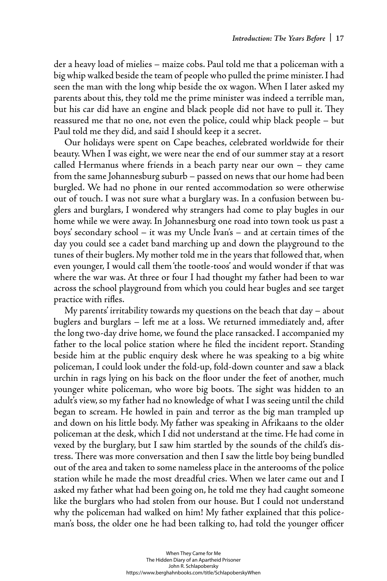der a heavy load of mielies – maize cobs. Paul told me that a policeman with a big whip walked beside the team of people who pulled the prime minister. I had seen the man with the long whip beside the ox wagon. When I later asked my parents about this, they told me the prime minister was indeed a terrible man, but his car did have an engine and black people did not have to pull it. They reassured me that no one, not even the police, could whip black people – but Paul told me they did, and said I should keep it a secret.

Our holidays were spent on Cape beaches, celebrated worldwide for their beauty. When I was eight, we were near the end of our summer stay at a resort called Hermanus where friends in a beach party near our own – they came from the same Johannesburg suburb – passed on news that our home had been burgled. We had no phone in our rented accommodation so were otherwise out of touch. I was not sure what a burglary was. In a confusion between buglers and burglars, I wondered why strangers had come to play bugles in our home while we were away. In Johannesburg one road into town took us past a boys' secondary school – it was my Uncle Ivan's – and at certain times of the day you could see a cadet band marching up and down the playground to the tunes of their buglers. My mother told me in the years that followed that, when even younger, I would call them 'the tootle-toos' and would wonder if that was where the war was. At three or four I had thought my father had been to war across the school playground from which you could hear bugles and see target practice with rifles.

My parents' irritability towards my questions on the beach that day – about buglers and burglars – left me at a loss. We returned immediately and, after the long two-day drive home, we found the place ransacked. I accompanied my father to the local police station where he filed the incident report. Standing beside him at the public enquiry desk where he was speaking to a big white policeman, I could look under the fold-up, fold-down counter and saw a black urchin in rags lying on his back on the floor under the feet of another, much younger white policeman, who wore big boots. The sight was hidden to an adult's view, so my father had no knowledge of what I was seeing until the child began to scream. He howled in pain and terror as the big man trampled up and down on his little body. My father was speaking in Afrikaans to the older policeman at the desk, which I did not understand at the time. He had come in vexed by the burglary, but I saw him startled by the sounds of the child's distress. There was more conversation and then I saw the little boy being bundled out of the area and taken to some nameless place in the anterooms of the police station while he made the most dreadful cries. When we later came out and I asked my father what had been going on, he told me they had caught someone like the burglars who had stolen from our house. But I could not understand why the policeman had walked on him! My father explained that this policeman's boss, the older one he had been talking to, had told the younger officer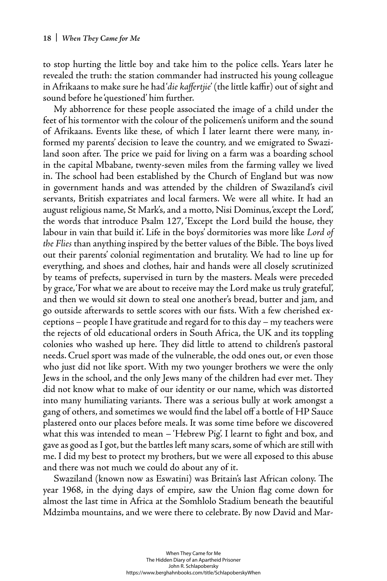to stop hurting the little boy and take him to the police cells. Years later he revealed the truth: the station commander had instructed his young colleague in Afrikaans to make sure he had'die kaffertjie' (the little kaffir) out of sight and sound before he 'questioned' him further.

My abhorrence for these people associated the image of a child under the feet of his tormentor with the colour of the policemen's uniform and the sound of Afrikaans. Events like these, of which I later learnt there were many, informed my parents' decision to leave the country, and we emigrated to Swaziland soon after. The price we paid for living on a farm was a boarding school in the capital Mbabane, twenty-seven miles from the farming valley we lived in. The school had been established by the Church of England but was now in government hands and was attended by the children of Swaziland's civil servants, British expatriates and local farmers. We were all white. It had an august religious name, St Mark's, and a motto, Nisi Dominus, 'except the Lord', the words that introduce Psalm 127, 'Except the Lord build the house, they labour in vain that build it'. Life in the boys' dormitories was more like *Lord of the Flies* than anything inspired by the better values of the Bible. The boys lived out their parents' colonial regimentation and brutality. We had to line up for everything, and shoes and clothes, hair and hands were all closely scrutinized by teams of prefects, supervised in turn by the masters. Meals were preceded by grace, 'For what we are about to receive may the Lord make us truly grateful', and then we would sit down to steal one another's bread, butter and jam, and go outside afterwards to settle scores with our fists. With a few cherished exceptions – people I have gratitude and regard for to this day – my teachers were the rejects of old educational orders in South Africa, the UK and its toppling colonies who washed up here. They did little to attend to children's pastoral needs. Cruel sport was made of the vulnerable, the odd ones out, or even those who just did not like sport. With my two younger brothers we were the only Jews in the school, and the only Jews many of the children had ever met. They did not know what to make of our identity or our name, which was distorted into many humiliating variants. There was a serious bully at work amongst a gang of others, and sometimes we would find the label off a bottle of HP Sauce plastered onto our places before meals. It was some time before we discovered what this was intended to mean – 'Hebrew Pig'. I learnt to fight and box, and gave as good as I got, but the battles left many scars, some of which are still with me. I did my best to protect my brothers, but we were all exposed to this abuse and there was not much we could do about any of it.

Swaziland (known now as Eswatini) was Britain's last African colony. The year 1968, in the dying days of empire, saw the Union flag come down for almost the last time in Africa at the Somhlolo Stadium beneath the beautiful Mdzimba mountains, and we were there to celebrate. By now David and Mar-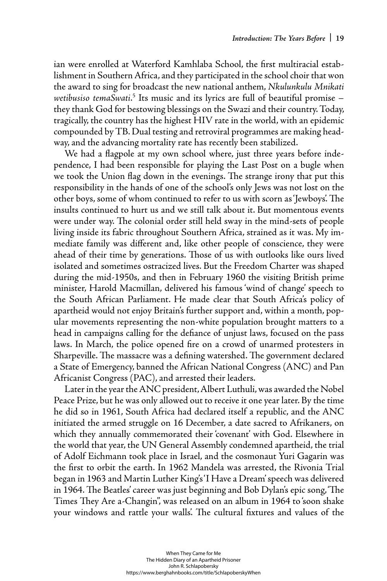ian were enrolled at Waterford Kamhlaba School, the first multiracial establishment in Southern Africa, and they participated in the school choir that won the award to sing for broadcast the new national anthem, *Nkulunkulu Mnikati*  wetibusiso temaSwati.<sup>5</sup> Its music and its lyrics are full of beautiful promise – they thank God for bestowing blessings on the Swazi and their country. Today, tragically, the country has the highest HIV rate in the world, with an epidemic compounded by TB. Dual testing and retroviral programmes are making headway, and the advancing mortality rate has recently been stabilized.

We had a flagpole at my own school where, just three years before independence, I had been responsible for playing the Last Post on a bugle when we took the Union flag down in the evenings. The strange irony that put this responsibility in the hands of one of the school's only Jews was not lost on the other boys, some of whom continued to refer to us with scorn as 'Jewboys'. The insults continued to hurt us and we still talk about it. But momentous events were under way. The colonial order still held sway in the mind-sets of people living inside its fabric throughout Southern Africa, strained as it was. My immediate family was different and, like other people of conscience, they were ahead of their time by generations. Those of us with outlooks like ours lived isolated and sometimes ostracized lives. But the Freedom Charter was shaped during the mid-1950s, and then in February 1960 the visiting British prime minister, Harold Macmillan, delivered his famous 'wind of change' speech to the South African Parliament. He made clear that South Africa's policy of apartheid would not enjoy Britain's further support and, within a month, popular movements representing the non-white population brought matters to a head in campaigns calling for the defiance of unjust laws, focused on the pass laws. In March, the police opened fire on a crowd of unarmed protesters in Sharpeville. The massacre was a defining watershed. The government declared a State of Emergency, banned the African National Congress (ANC) and Pan Africanist Congress (PAC), and arrested their leaders.

Later in the year the ANC president, Albert Luthuli, was awarded the Nobel Peace Prize, but he was only allowed out to receive it one year later. By the time he did so in 1961, South Africa had declared itself a republic, and the ANC initiated the armed struggle on 16 December, a date sacred to Afrikaners, on which they annually commemorated their 'covenant' with God. Elsewhere in the world that year, the UN General Assembly condemned apartheid, the trial of Adolf Eichmann took place in Israel, and the cosmonaut Yuri Gagarin was the first to orbit the earth. In 1962 Mandela was arrested, the Rivonia Trial began in 1963 and Martin Luther King's 'I Have a Dream' speech was delivered in 1964. The Beatles' career was just beginning and Bob Dylan's epic song, 'The Times They Are a-Changin", was released on an album in 1964 to soon shake your windows and rattle your walls. The cultural fixtures and values of the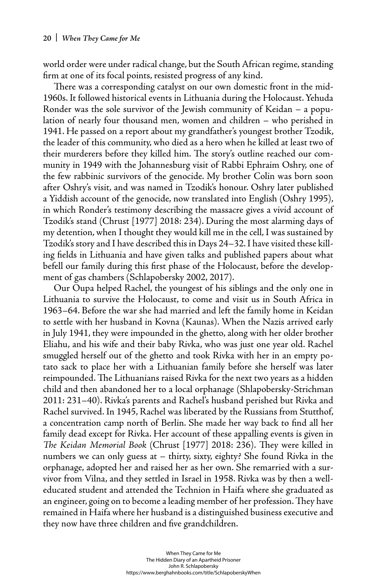world order were under radical change, but the South African regime, standing firm at one of its focal points, resisted progress of any kind.

There was a corresponding catalyst on our own domestic front in the mid-1960s. It followed historical events in Lithuania during the Holocaust. Yehuda Ronder was the sole survivor of the Jewish community of Keidan – a population of nearly four thousand men, women and children – who perished in 1941. He passed on a report about my grandfather's youngest brother Tzodik, the leader of this community, who died as a hero when he killed at least two of their murderers before they killed him. The story's outline reached our community in 1949 with the Johannesburg visit of Rabbi Ephraim Oshry, one of the few rabbinic survivors of the genocide. My brother Colin was born soon after Oshry's visit, and was named in Tzodik's honour. Oshry later published a Yiddish account of the genocide, now translated into English (Oshry 1995), in which Ronder's testimony describing the massacre gives a vivid account of Tzodik's stand (Chrust [1977] 2018: 234). During the most alarming days of my detention, when I thought they would kill me in the cell, I was sustained by Tzodik's story and I have described this in Days 24–32. I have visited these killing fields in Lithuania and have given talks and published papers about what befell our family during this first phase of the Holocaust, before the development of gas chambers (Schlapobersky 2002, 2017).

Our Oupa helped Rachel, the youngest of his siblings and the only one in Lithuania to survive the Holocaust, to come and visit us in South Africa in 1963–64. Before the war she had married and left the family home in Keidan to settle with her husband in Kovna (Kaunas). When the Nazis arrived early in July 1941, they were impounded in the ghetto, along with her older brother Eliahu, and his wife and their baby Rivka, who was just one year old. Rachel smuggled herself out of the ghetto and took Rivka with her in an empty potato sack to place her with a Lithuanian family before she herself was later reimpounded. The Lithuanians raised Rivka for the next two years as a hidden child and then abandoned her to a local orphanage (Shlapobersky-Strichman 2011: 231–40). Rivka's parents and Rachel's husband perished but Rivka and Rachel survived. In 1945, Rachel was liberated by the Russians from Stutthof, a concentration camp north of Berlin. She made her way back to find all her family dead except for Rivka. Her account of these appalling events is given in *The Keidan Memorial Book (Chrust [1977] 2018: 236). They were killed in* numbers we can only guess at – thirty, sixty, eighty? She found Rivka in the orphanage, adopted her and raised her as her own. She remarried with a survivor from Vilna, and they settled in Israel in 1958. Rivka was by then a welleducated student and attended the Technion in Haifa where she graduated as an engineer, going on to become a leading member of her profession. They have remained in Haifa where her husband is a distinguished business executive and they now have three children and five grandchildren.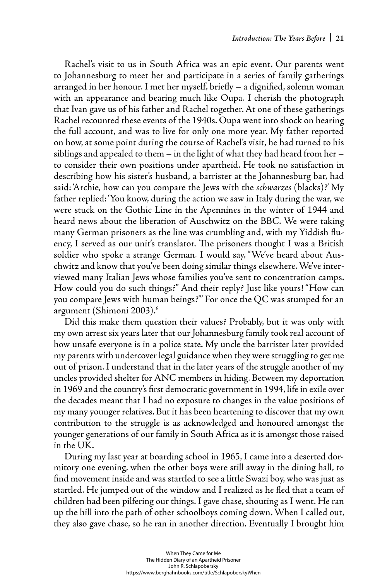Rachel's visit to us in South Africa was an epic event. Our parents went to Johannesburg to meet her and participate in a series of family gatherings arranged in her honour. I met her myself, briefly - a dignified, solemn woman with an appearance and bearing much like Oupa. I cherish the photograph that Ivan gave us of his father and Rachel together. At one of these gatherings Rachel recounted these events of the 1940s. Oupa went into shock on hearing the full account, and was to live for only one more year. My father reported on how, at some point during the course of Rachel's visit, he had turned to his siblings and appealed to them – in the light of what they had heard from her – to consider their own positions under apartheid. He took no satisfaction in describing how his sister's husband, a barrister at the Johannesburg bar, had said: 'Archie, how can you compare the Jews with the *schwarzes* (blacks)?' My father replied: 'You know, during the action we saw in Italy during the war, we were stuck on the Gothic Line in the Apennines in the winter of 1944 and heard news about the liberation of Auschwitz on the BBC. We were taking many German prisoners as the line was crumbling and, with my Yiddish fluency, I served as our unit's translator. The prisoners thought I was a British soldier who spoke a strange German. I would say, "We've heard about Auschwitz and know that you've been doing similar things elsewhere. We've interviewed many Italian Jews whose families you've sent to concentration camps. How could you do such things?" And their reply? Just like yours! "How can you compare Jews with human beings?"' For once the QC was stumped for an argument (Shimoni 2003).6

Did this make them question their values? Probably, but it was only with my own arrest six years later that our Johannesburg family took real account of how unsafe everyone is in a police state. My uncle the barrister later provided my parents with undercover legal guidance when they were struggling to get me out of prison. I understand that in the later years of the struggle another of my uncles provided shelter for ANC members in hiding. Between my deportation in 1969 and the country's first democratic government in 1994, life in exile over the decades meant that I had no exposure to changes in the value positions of my many younger relatives. But it has been heartening to discover that my own contribution to the struggle is as acknowledged and honoured amongst the younger generations of our family in South Africa as it is amongst those raised in the UK.

During my last year at boarding school in 1965, I came into a deserted dormitory one evening, when the other boys were still away in the dining hall, to find movement inside and was startled to see a little Swazi boy, who was just as startled. He jumped out of the window and I realized as he fled that a team of children had been pilfering our things. I gave chase, shouting as I went. He ran up the hill into the path of other schoolboys coming down. When I called out, they also gave chase, so he ran in another direction. Eventually I brought him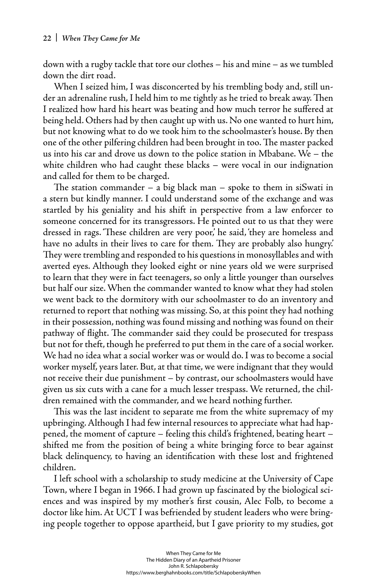down with a rugby tackle that tore our clothes – his and mine – as we tumbled down the dirt road.

When I seized him, I was disconcerted by his trembling body and, still under an adrenaline rush, I held him to me tightly as he tried to break away. Then I realized how hard his heart was beating and how much terror he suffered at being held. Others had by then caught up with us. No one wanted to hurt him, but not knowing what to do we took him to the schoolmaster's house. By then one of the other pilfering children had been brought in too. The master packed us into his car and drove us down to the police station in Mbabane. We – the white children who had caught these blacks – were vocal in our indignation and called for them to be charged.

The station commander – a big black man – spoke to them in siSwati in a stern but kindly manner. I could understand some of the exchange and was startled by his geniality and his shift in perspective from a law enforcer to someone concerned for its transgressors. He pointed out to us that they were dressed in rags. 'These children are very poor,' he said, they are homeless and have no adults in their lives to care for them. They are probably also hungry.' They were trembling and responded to his questions in monosyllables and with averted eyes. Although they looked eight or nine years old we were surprised to learn that they were in fact teenagers, so only a little younger than ourselves but half our size. When the commander wanted to know what they had stolen we went back to the dormitory with our schoolmaster to do an inventory and returned to report that nothing was missing. So, at this point they had nothing in their possession, nothing was found missing and nothing was found on their pathway of flight. The commander said they could be prosecuted for trespass but not for theft, though he preferred to put them in the care of a social worker. We had no idea what a social worker was or would do. I was to become a social worker myself, years later. But, at that time, we were indignant that they would not receive their due punishment – by contrast, our schoolmasters would have given us six cuts with a cane for a much lesser trespass. We returned, the children remained with the commander, and we heard nothing further.

This was the last incident to separate me from the white supremacy of my upbringing. Although I had few internal resources to appreciate what had happened, the moment of capture – feeling this child's frightened, beating heart – shifted me from the position of being a white bringing force to bear against black delinquency, to having an identification with these lost and frightened children.

I left school with a scholarship to study medicine at the University of Cape Town, where I began in 1966. I had grown up fascinated by the biological sciences and was inspired by my mother's first cousin, Alec Folb, to become a doctor like him. At UCT I was befriended by student leaders who were bringing people together to oppose apartheid, but I gave priority to my studies, got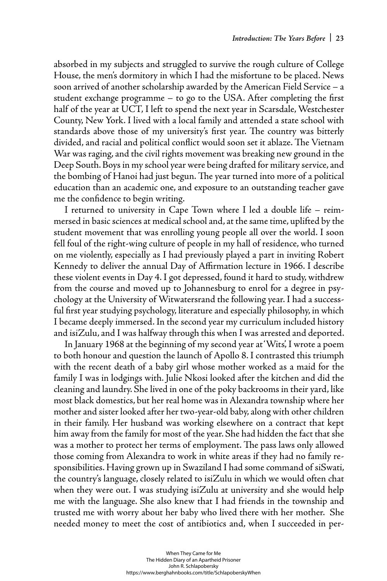absorbed in my subjects and struggled to survive the rough culture of College House, the men's dormitory in which I had the misfortune to be placed. News soon arrived of another scholarship awarded by the American Field Service – a student exchange programme – to go to the USA. After completing the first half of the year at UCT, I left to spend the next year in Scarsdale, Westchester County, New York. I lived with a local family and attended a state school with standards above those of my university's first year. The country was bitterly divided, and racial and political conflict would soon set it ablaze. The Vietnam War was raging, and the civil rights movement was breaking new ground in the Deep South. Boys in my school year were being drafted for military service, and the bombing of Hanoi had just begun. The year turned into more of a political education than an academic one, and exposure to an outstanding teacher gave me the confidence to begin writing.

I returned to university in Cape Town where I led a double life – reimmersed in basic sciences at medical school and, at the same time, uplifted by the student movement that was enrolling young people all over the world. I soon fell foul of the right-wing culture of people in my hall of residence, who turned on me violently, especially as I had previously played a part in inviting Robert Kennedy to deliver the annual Day of Affirmation lecture in 1966. I describe these violent events in Day 4. I got depressed, found it hard to study, withdrew from the course and moved up to Johannesburg to enrol for a degree in psychology at the University of Witwatersrand the following year. I had a successful first year studying psychology, literature and especially philosophy, in which I became deeply immersed. In the second year my curriculum included history and isiZulu, and I was halfway through this when I was arrested and deported.

In January 1968 at the beginning of my second year at 'Wits', I wrote a poem to both honour and question the launch of Apollo 8. I contrasted this triumph with the recent death of a baby girl whose mother worked as a maid for the family I was in lodgings with. Julie Nkosi looked after the kitchen and did the cleaning and laundry. She lived in one of the poky backrooms in their yard, like most black domestics, but her real home was in Alexandra township where her mother and sister looked after her two-year-old baby, along with other children in their family. Her husband was working elsewhere on a contract that kept him away from the family for most of the year. She had hidden the fact that she was a mother to protect her terms of employment. The pass laws only allowed those coming from Alexandra to work in white areas if they had no family responsibilities. Having grown up in Swaziland I had some command of siSwati, the country's language, closely related to isiZulu in which we would often chat when they were out. I was studying isiZulu at university and she would help me with the language. She also knew that I had friends in the township and trusted me with worry about her baby who lived there with her mother. She needed money to meet the cost of antibiotics and, when I succeeded in per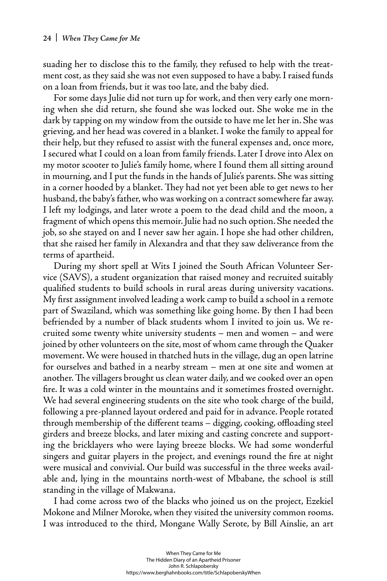suading her to disclose this to the family, they refused to help with the treatment cost, as they said she was not even supposed to have a baby. I raised funds on a loan from friends, but it was too late, and the baby died.

For some days Julie did not turn up for work, and then very early one morning when she did return, she found she was locked out. She woke me in the dark by tapping on my window from the outside to have me let her in. She was grieving, and her head was covered in a blanket. I woke the family to appeal for their help, but they refused to assist with the funeral expenses and, once more, I secured what I could on a loan from family friends. Later I drove into Alex on my motor scooter to Julie's family home, where I found them all sitting around in mourning, and I put the funds in the hands of Julie's parents. She was sitting in a corner hooded by a blanket. They had not yet been able to get news to her husband, the baby's father, who was working on a contract somewhere far away. I left my lodgings, and later wrote a poem to the dead child and the moon, a fragment of which opens this memoir. Julie had no such option. She needed the job, so she stayed on and I never saw her again. I hope she had other children, that she raised her family in Alexandra and that they saw deliverance from the terms of apartheid.

During my short spell at Wits I joined the South African Volunteer Service (SAVS), a student organization that raised money and recruited suitably qualified students to build schools in rural areas during university vacations. My first assignment involved leading a work camp to build a school in a remote part of Swaziland, which was something like going home. By then I had been befriended by a number of black students whom I invited to join us. We recruited some twenty white university students – men and women – and were joined by other volunteers on the site, most of whom came through the Quaker movement. We were housed in thatched huts in the village, dug an open latrine for ourselves and bathed in a nearby stream – men at one site and women at another. The villagers brought us clean water daily, and we cooked over an open fire. It was a cold winter in the mountains and it sometimes frosted overnight. We had several engineering students on the site who took charge of the build, following a pre-planned layout ordered and paid for in advance. People rotated through membership of the different teams – digging, cooking, offloading steel girders and breeze blocks, and later mixing and casting concrete and supporting the bricklayers who were laying breeze blocks. We had some wonderful singers and guitar players in the project, and evenings round the fire at night were musical and convivial. Our build was successful in the three weeks available and, lying in the mountains north-west of Mbabane, the school is still standing in the village of Makwana.

I had come across two of the blacks who joined us on the project, Ezekiel Mokone and Milner Moroke, when they visited the university common rooms. I was introduced to the third, Mongane Wally Serote, by Bill Ainslie, an art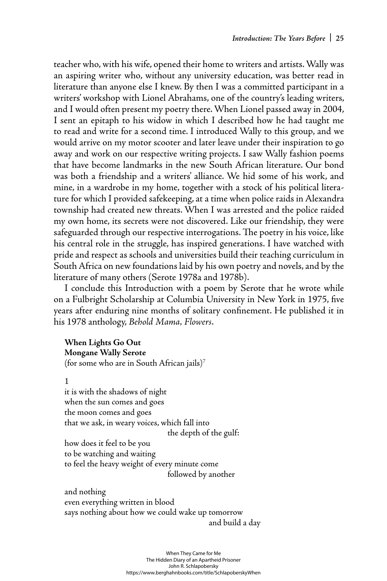teacher who, with his wife, opened their home to writers and artists. Wally was an aspiring writer who, without any university education, was better read in literature than anyone else I knew. By then I was a committed participant in a writers' workshop with Lionel Abrahams, one of the country's leading writers, and I would often present my poetry there. When Lionel passed away in 2004, I sent an epitaph to his widow in which I described how he had taught me to read and write for a second time. I introduced Wally to this group, and we would arrive on my motor scooter and later leave under their inspiration to go away and work on our respective writing projects. I saw Wally fashion poems that have become landmarks in the new South African literature. Our bond was both a friendship and a writers' alliance. We hid some of his work, and mine, in a wardrobe in my home, together with a stock of his political literature for which I provided safekeeping, at a time when police raids in Alexandra township had created new threats. When I was arrested and the police raided my own home, its secrets were not discovered. Like our friendship, they were safeguarded through our respective interrogations. The poetry in his voice, like his central role in the struggle, has inspired generations. I have watched with pride and respect as schools and universities build their teaching curriculum in South Africa on new foundations laid by his own poetry and novels, and by the literature of many others (Serote 1978a and 1978b).

I conclude this Introduction with a poem by Serote that he wrote while on a Fulbright Scholarship at Columbia University in New York in 1975, five years after enduring nine months of solitary confinement. He published it in his 1978 anthology, *Behold Mama, Flowers*.

# **When Lights Go Out Mongane Wally Serote**

(for some who are in South African jails)7

# 1

it is with the shadows of night when the sun comes and goes the moon comes and goes that we ask, in weary voices, which fall into the depth of the gulf: how does it feel to be you to be watching and waiting to feel the heavy weight of every minute come followed by another

and nothing even everything written in blood says nothing about how we could wake up tomorrow and build a day

> When They Came for Me The Hidden Diary of an Apartheid Prisoner John R. Schlapobersky <https://www.berghahnbooks.com/title/SchlapoberskyWhen>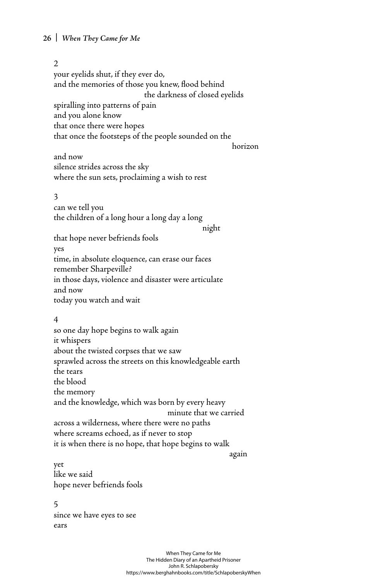## **26 |** *When They Came for Me*

#### $\mathfrak{D}$

your eyelids shut, if they ever do, and the memories of those you knew, flood behind the darkness of closed eyelids spiralling into patterns of pain and you alone know that once there were hopes that once the footsteps of the people sounded on the

horizon and the state of the state of the state of the state of the state of the state of the state of the state of the state of the state of the state of the state of the state of the state of the state of the state of th

and now silence strides across the sky where the sun sets, proclaiming a wish to rest

#### 3

can we tell you the children of a long hour a long day a long

night and the contract of the state of the state of the state of the state of the state of the state of the st

that hope never befriends fools yes time, in absolute eloquence, can erase our faces remember Sharpeville? in those days, violence and disaster were articulate and now today you watch and wait

### 4

so one day hope begins to walk again it whispers about the twisted corpses that we saw sprawled across the streets on this knowledgeable earth the tears the blood the memory and the knowledge, which was born by every heavy minute that we carried across a wilderness, where there were no paths where screams echoed, as if never to stop it is when there is no hope, that hope begins to walk

again anns an t-ainm again agus an t-ainm ag ainm an t-ainm ag ainm ag ainm ag ainm an t-ainm ag ainm an t-ain

yet like we said hope never befriends fools

#### 5

since we have eyes to see ears